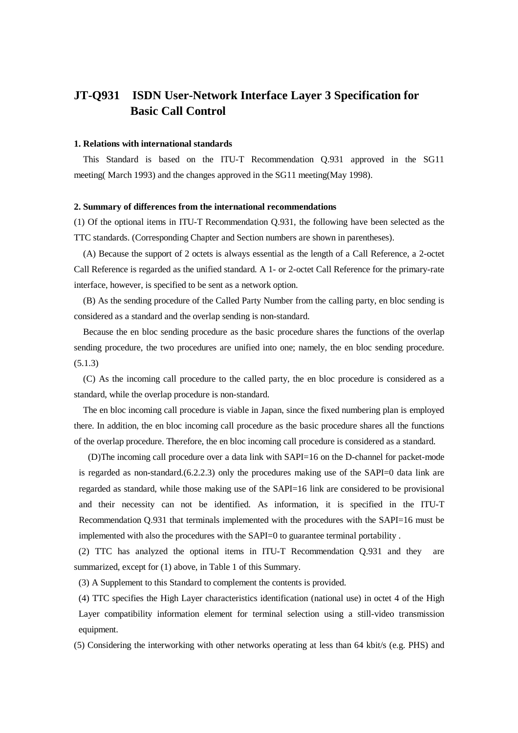# **JT-Q931 ISDN User-Network Interface Layer 3 Specification for Basic Call Control**

### **1. Relations with international standards**

 This Standard is based on the ITU-T Recommendation Q.931 approved in the SG11 meeting( March 1993) and the changes approved in the SG11 meeting(May 1998).

### **2. Summary of differences from the international recommendations**

(1) Of the optional items in ITU-T Recommendation Q.931, the following have been selected as the TTC standards. (Corresponding Chapter and Section numbers are shown in parentheses).

 (A) Because the support of 2 octets is always essential as the length of a Call Reference, a 2-octet Call Reference is regarded as the unified standard. A 1- or 2-octet Call Reference for the primary-rate interface, however, is specified to be sent as a network option.

 (B) As the sending procedure of the Called Party Number from the calling party, en bloc sending is considered as a standard and the overlap sending is non-standard.

 Because the en bloc sending procedure as the basic procedure shares the functions of the overlap sending procedure, the two procedures are unified into one; namely, the en bloc sending procedure. (5.1.3)

 (C) As the incoming call procedure to the called party, the en bloc procedure is considered as a standard, while the overlap procedure is non-standard.

 The en bloc incoming call procedure is viable in Japan, since the fixed numbering plan is employed there. In addition, the en bloc incoming call procedure as the basic procedure shares all the functions of the overlap procedure. Therefore, the en bloc incoming call procedure is considered as a standard.

 (D)The incoming call procedure over a data link with SAPI=16 on the D-channel for packet-mode is regarded as non-standard.(6.2.2.3) only the procedures making use of the SAPI=0 data link are regarded as standard, while those making use of the SAPI=16 link are considered to be provisional and their necessity can not be identified. As information, it is specified in the ITU-T Recommendation Q.931 that terminals implemented with the procedures with the SAPI=16 must be implemented with also the procedures with the SAPI=0 to guarantee terminal portability .

 (2) TTC has analyzed the optional items in ITU-T Recommendation Q.931 and they are summarized, except for (1) above, in Table 1 of this Summary.

(3) A Supplement to this Standard to complement the contents is provided.

(4) TTC specifies the High Layer characteristics identification (national use) in octet 4 of the High Layer compatibility information element for terminal selection using a still-video transmission equipment.

(5) Considering the interworking with other networks operating at less than 64 kbit/s (e.g. PHS) and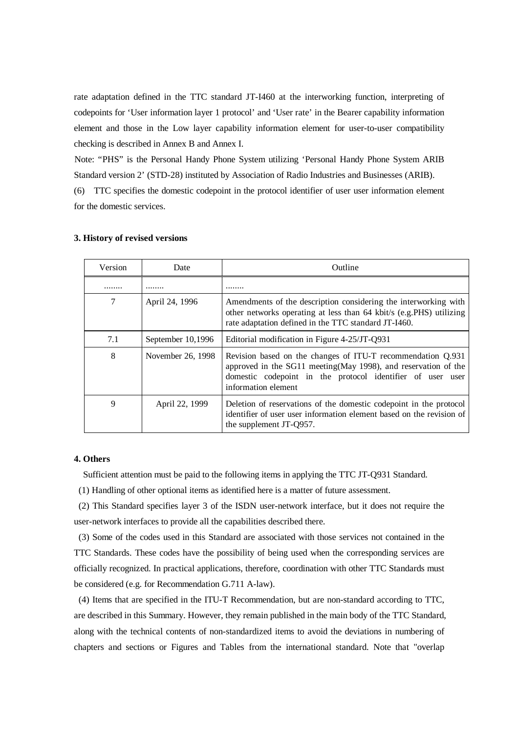rate adaptation defined in the TTC standard JT-I460 at the interworking function, interpreting of codepoints for 'User information layer 1 protocol' and 'User rate' in the Bearer capability information element and those in the Low layer capability information element for user-to-user compatibility checking is described in Annex B and Annex I.

Note: "PHS" is the Personal Handy Phone System utilizing 'Personal Handy Phone System ARIB Standard version 2' (STD-28) instituted by Association of Radio Industries and Businesses (ARIB).

(6) TTC specifies the domestic codepoint in the protocol identifier of user user information element for the domestic services.

| Version | Date              | Outline                                                                                                                                                                                                             |
|---------|-------------------|---------------------------------------------------------------------------------------------------------------------------------------------------------------------------------------------------------------------|
|         |                   |                                                                                                                                                                                                                     |
| 7       | April 24, 1996    | Amendments of the description considering the interworking with<br>other networks operating at less than 64 kbit/s (e.g.PHS) utilizing<br>rate adaptation defined in the TTC standard JT-I460.                      |
| 7.1     | September 10,1996 | Editorial modification in Figure 4-25/JT-Q931                                                                                                                                                                       |
| 8       | November 26, 1998 | Revision based on the changes of ITU-T recommendation Q.931<br>approved in the SG11 meeting (May 1998), and reservation of the<br>domestic codepoint in the protocol identifier of user user<br>information element |
| 9       | April 22, 1999    | Deletion of reservations of the domestic codepoint in the protocol<br>identifier of user user information element based on the revision of<br>the supplement JT-Q957.                                               |

## **3. History of revised versions**

#### **4. Others**

Sufficient attention must be paid to the following items in applying the TTC JT-Q931 Standard.

(1) Handling of other optional items as identified here is a matter of future assessment.

 (2) This Standard specifies layer 3 of the ISDN user-network interface, but it does not require the user-network interfaces to provide all the capabilities described there.

 (3) Some of the codes used in this Standard are associated with those services not contained in the TTC Standards. These codes have the possibility of being used when the corresponding services are officially recognized. In practical applications, therefore, coordination with other TTC Standards must be considered (e.g. for Recommendation G.711 A-law).

 (4) Items that are specified in the ITU-T Recommendation, but are non-standard according to TTC, are described in this Summary. However, they remain published in the main body of the TTC Standard, along with the technical contents of non-standardized items to avoid the deviations in numbering of chapters and sections or Figures and Tables from the international standard. Note that "overlap